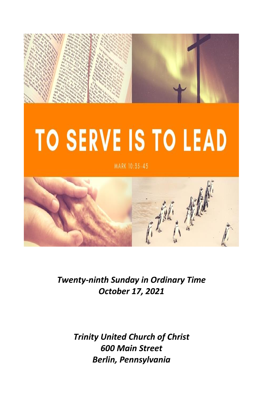

# **TO SERVE IS TO LEAD**

**MARK 10:35-45** 



*Twenty-ninth Sunday in Ordinary Time October 17, 2021*

> *Trinity United Church of Christ 600 Main Street Berlin, Pennsylvania*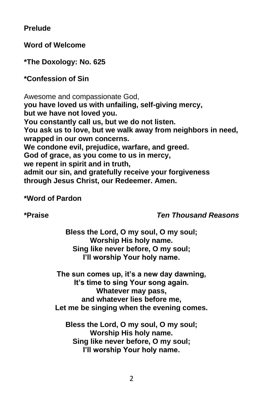**Prelude**

**Word of Welcome**

**\*The Doxology: No. 625**

**\*Confession of Sin**

Awesome and compassionate God, **you have loved us with unfailing, self-giving mercy, but we have not loved you. You constantly call us, but we do not listen. You ask us to love, but we walk away from neighbors in need, wrapped in our own concerns. We condone evil, prejudice, warfare, and greed. God of grace, as you come to us in mercy, we repent in spirit and in truth, admit our sin, and gratefully receive your forgiveness through Jesus Christ, our Redeemer. Amen.** 

# **\*Word of Pardon**

**\*Praise** *Ten Thousand Reasons*

**Bless the Lord, O my soul, O my soul; Worship His holy name. Sing like never before, O my soul; I'll worship Your holy name.**

**The sun comes up, it's a new day dawning, It's time to sing Your song again. Whatever may pass, and whatever lies before me, Let me be singing when the evening comes.**

**Bless the Lord, O my soul, O my soul; Worship His holy name. Sing like never before, O my soul; I'll worship Your holy name.**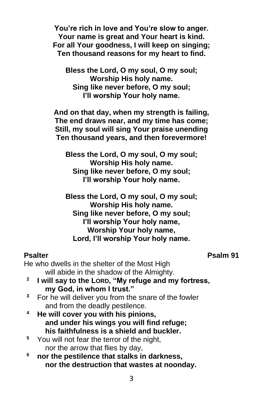**You're rich in love and You're slow to anger. Your name is great and Your heart is kind. For all Your goodness, I will keep on singing; Ten thousand reasons for my heart to find.**

**Bless the Lord, O my soul, O my soul; Worship His holy name. Sing like never before, O my soul; I'll worship Your holy name.**

**And on that day, when my strength is failing, The end draws near, and my time has come; Still, my soul will sing Your praise unending Ten thousand years, and then forevermore!**

**Bless the Lord, O my soul, O my soul; Worship His holy name. Sing like never before, O my soul; I'll worship Your holy name.**

**Bless the Lord, O my soul, O my soul; Worship His holy name. Sing like never before, O my soul; I'll worship Your holy name, Worship Your holy name, Lord, I'll worship Your holy name.**

#### **Psalter Psalm 91**

He who dwells in the shelter of the Most High will abide in the shadow of the Almighty.

- **2 I will say to the LORD, "My refuge and my fortress, my God, in whom I trust."**
- **<sup>3</sup>** For he will deliver you from the snare of the fowler and from the deadly pestilence.
- **<sup>4</sup> He will cover you with his pinions, and under his wings you will find refuge; his faithfulness is a shield and buckler.**
- **<sup>5</sup>** You will not fear the terror of the night, nor the arrow that flies by day,
- **<sup>6</sup> nor the pestilence that stalks in darkness, nor the destruction that wastes at noonday.**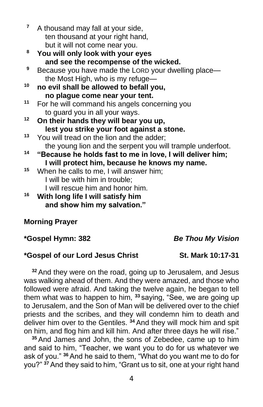|    | ten thousand at your right hand,                           |
|----|------------------------------------------------------------|
|    | but it will not come near you.                             |
| 8  | You will only look with your eyes                          |
|    | and see the recompense of the wicked.                      |
| 9  | Because you have made the LORD your dwelling place—        |
|    | the Most High, who is my refuge-                           |
| 10 | no evil shall be allowed to befall you,                    |
|    | no plague come near your tent.                             |
| 11 | For he will command his angels concerning you              |
|    | to guard you in all your ways.                             |
| 12 | On their hands they will bear you up,                      |
|    | lest you strike your foot against a stone.                 |
| 13 | You will tread on the lion and the adder;                  |
|    | the young lion and the serpent you will trample underfoot. |
| 14 | "Because he holds fast to me in love, I will deliver him;  |
|    | I will protect him, because he knows my name.              |
| 15 | When he calls to me, I will answer him;                    |
|    | I will be with him in trouble;                             |
|    | I will rescue him and honor him.                           |
| 16 | With long life I will satisfy him                          |
|    | and show him my salvation."                                |

## **Morning Prayer**

#### **\*Gospel Hymn: 382** *Be Thou My Vision*

#### **\*Gospel of our Lord Jesus Christ St. Mark 10:17-31**

**<sup>7</sup>** A thousand may fall at your side,

**<sup>32</sup>** And they were on the road, going up to Jerusalem, and Jesus was walking ahead of them. And they were amazed, and those who followed were afraid. And taking the twelve again, he began to tell them what was to happen to him, **<sup>33</sup>** saying, "See, we are going up to Jerusalem, and the Son of Man will be delivered over to the chief priests and the scribes, and they will condemn him to death and deliver him over to the Gentiles. **<sup>34</sup>** And they will mock him and spit on him, and flog him and kill him. And after three days he will rise."

**<sup>35</sup>** And James and John, the sons of Zebedee, came up to him and said to him, "Teacher, we want you to do for us whatever we ask of you." **<sup>36</sup>** And he said to them, "What do you want me to do for you?" **<sup>37</sup>** And they said to him, "Grant us to sit, one at your right hand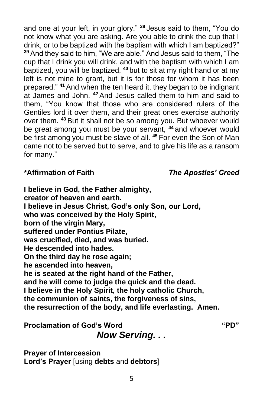and one at your left, in your glory." **<sup>38</sup>** Jesus said to them, "You do not know what you are asking. Are you able to drink the cup that I drink, or to be baptized with the baptism with which I am baptized?" **<sup>39</sup>** And they said to him, "We are able." And Jesus said to them, "The cup that I drink you will drink, and with the baptism with which I am baptized, you will be baptized, **<sup>40</sup>** but to sit at my right hand or at my left is not mine to grant, but it is for those for whom it has been prepared." **<sup>41</sup>** And when the ten heard it, they began to be indignant at James and John. **<sup>42</sup>** And Jesus called them to him and said to them, "You know that those who are considered rulers of the Gentiles lord it over them, and their great ones exercise authority over them. **<sup>43</sup>** But it shall not be so among you. But whoever would be great among you must be your servant, **<sup>44</sup>** and whoever would be first among you must be slave of all. **<sup>45</sup>** For even the Son of Man came not to be served but to serve, and to give his life as a ransom for many."

## **\*Affirmation of Faith** *The Apostles' Creed*

**I believe in God, the Father almighty, creator of heaven and earth. I believe in Jesus Christ, God's only Son, our Lord, who was conceived by the Holy Spirit, born of the virgin Mary, suffered under Pontius Pilate, was crucified, died, and was buried. He descended into hades. On the third day he rose again; he ascended into heaven, he is seated at the right hand of the Father, and he will come to judge the quick and the dead. I believe in the Holy Spirit, the holy catholic Church, the communion of saints, the forgiveness of sins, the resurrection of the body, and life everlasting. Amen.**

**Proclamation of God's Word "PD"** *Now Serving. . .*

**Prayer of Intercession Lord's Prayer** [using **debts** and **debtors**]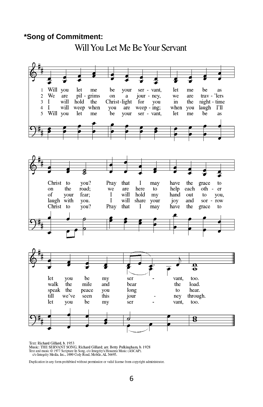# **\*Song of Commitment:** Will You Let Me Be Your Servant



Text: Richard Gillard, b. 1953 F.A., Neulau Omard, O. 1757<br>Music: THE SERVANT SONG, Richard Gillard; arr. Betty Pulkingham, b. 1928<br>Text and music © 1977 Scripture In Song, c/o Integrity's Hosanna Music (ASCAP),<br>c/o Integrity Media, Inc., 1000 Cody Road

Duplication in any form prohibited without permission or valid license from copyright administrator.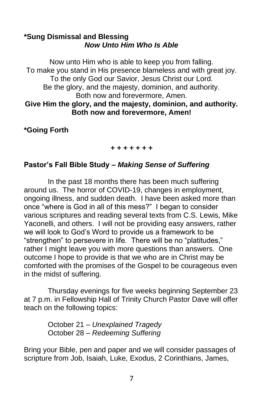## **\*Sung Dismissal and Blessing** *Now Unto Him Who Is Able*

Now unto Him who is able to keep you from falling. To make you stand in His presence blameless and with great joy. To the only God our Savior, Jesus Christ our Lord. Be the glory, and the majesty, dominion, and authority. Both now and forevermore, Amen. **Give Him the glory, and the majesty, dominion, and authority. Both now and forevermore, Amen!**

**\*Going Forth**

#### *+ + + + + + +*

# **Pastor's Fall Bible Study –** *Making Sense of Suffering*

In the past 18 months there has been much suffering around us. The horror of COVID-19, changes in employment, ongoing illness, and sudden death. I have been asked more than once "where is God in all of this mess?" I began to consider various scriptures and reading several texts from C.S. Lewis, Mike Yaconelli, and others. I will not be providing easy answers, rather we will look to God's Word to provide us a framework to be "strengthen" to persevere in life. There will be no "platitudes," rather I might leave you with more questions than answers. One outcome I hope to provide is that we who are in Christ may be comforted with the promises of the Gospel to be courageous even in the midst of suffering.

Thursday evenings for five weeks beginning September 23 at 7 p.m. in Fellowship Hall of Trinity Church Pastor Dave will offer teach on the following topics:

> October 21 – *Unexplained Tragedy* October 28 – *Redeeming Suffering*

Bring your Bible, pen and paper and we will consider passages of scripture from Job, Isaiah, Luke, Exodus, 2 Corinthians, James,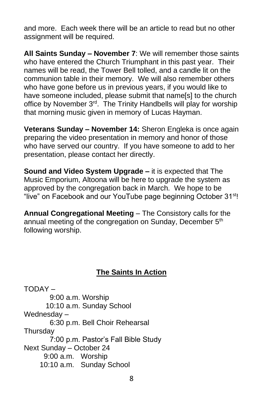and more. Each week there will be an article to read but no other assignment will be required.

**All Saints Sunday – November 7**: We will remember those saints who have entered the Church Triumphant in this past year. Their names will be read, the Tower Bell tolled, and a candle lit on the communion table in their memory. We will also remember others who have gone before us in previous years, if you would like to have someone included, please submit that name[s] to the church office by November 3rd. The Trinity Handbells will play for worship that morning music given in memory of Lucas Hayman.

**Veterans Sunday – November 14:** Sheron Engleka is once again preparing the video presentation in memory and honor of those who have served our country. If you have someone to add to her presentation, please contact her directly.

**Sound and Video System Upgrade –** it is expected that The Music Emporium, Altoona will be here to upgrade the system as approved by the congregation back in March. We hope to be "live" on Facebook and our YouTube page beginning October 31st!

**Annual Congregational Meeting** – The Consistory calls for the annual meeting of the congregation on Sunday, December 5<sup>th</sup> following worship.

# **The Saints In Action**

TODAY – 9:00 a.m. Worship 10:10 a.m. Sunday School Wednesday – 6:30 p.m. Bell Choir Rehearsal **Thursdav** 7:00 p.m. Pastor's Fall Bible Study Next Sunday – October 24 9:00 a.m. Worship 10:10 a.m. Sunday School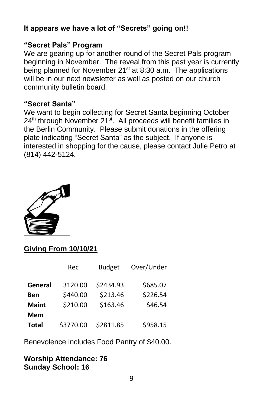# **It appears we have a lot of "Secrets" going on!!**

# **"Secret Pals" Program**

We are gearing up for another round of the Secret Pals program beginning in November. The reveal from this past year is currently being planned for November 21<sup>st</sup> at 8:30 a.m. The applications will be in our next newsletter as well as posted on our church community bulletin board.

## **"Secret Santa"**

We want to begin collecting for Secret Santa beginning October  $24<sup>th</sup>$  through November  $21<sup>st</sup>$ . All proceeds will benefit families in the Berlin Community. Please submit donations in the offering plate indicating "Secret Santa" as the subject. If anyone is interested in shopping for the cause, please contact Julie Petro at (814) 442-5124.



# **Giving From 10/10/21**

|              | Rec       | <b>Budget</b> | Over/Under |
|--------------|-----------|---------------|------------|
| General      | 3120.00   | \$2434.93     | \$685.07   |
| Ben          | \$440.00  | \$213.46      | \$226.54   |
| <b>Maint</b> | \$210.00  | \$163.46      | \$46.54    |
| Mem          |           |               |            |
| <b>Total</b> | \$3770.00 | \$2811.85     | \$958.15   |

Benevolence includes Food Pantry of \$40.00.

**Worship Attendance: 76 Sunday School: 16**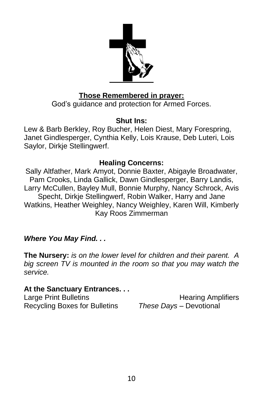

# **Those Remembered in prayer:**

God's guidance and protection for Armed Forces.

# **Shut Ins:**

Lew & Barb Berkley, Roy Bucher, Helen Diest, Mary Forespring, Janet Gindlesperger, Cynthia Kelly, Lois Krause, Deb Luteri, Lois Saylor, Dirkje Stellingwerf.

# **Healing Concerns:**

Sally Altfather, Mark Amyot, Donnie Baxter, Abigayle Broadwater, Pam Crooks, Linda Gallick, Dawn Gindlesperger, Barry Landis, Larry McCullen, Bayley Mull, Bonnie Murphy, Nancy Schrock, Avis Specht, Dirkje Stellingwerf, Robin Walker, Harry and Jane Watkins, Heather Weighley, Nancy Weighley, Karen Will, Kimberly Kay Roos Zimmerman

*Where You May Find. . .*

**The Nursery:** *is on the lower level for children and their parent. A big screen TV is mounted in the room so that you may watch the service.*

# **At the Sanctuary Entrances. . .**

Recycling Boxes for Bulletins *These Days –* Devotional

Large Print Bulletins **Example 20** Hearing Amplifiers